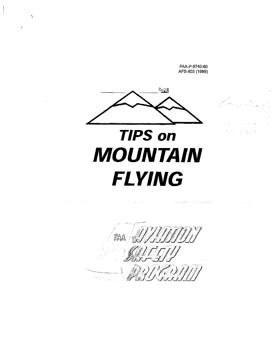FAA-P-8740-60 AFS-803 (1999)



·.

 $\alpha$  ,  $\alpha$  ,  $\alpha$  ,  $\alpha$ 



 $\widehat{\mathbb{F}}_q^{\rho} \mathbb{F}_q^{\mathbb{F}}$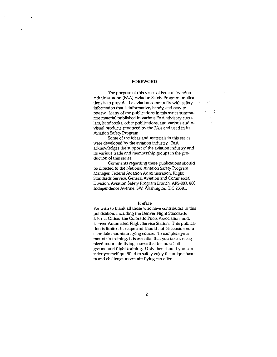#### FOREWORD

·.

The purpose of this series of Federal Aviation Administration (FAA) Aviation Safety Program publica**tions is·to provide the aviation community with safety**  information that is informative. handy, and easy to **review. Many of the publications in this series summa**rize material published in various FAA advisory circu**lars, handbooks, other publications, and various audio**visual products produced by the FAA and used in its Aviation Safety Program.

 $\{x_{\alpha},\ldots,x_{\alpha}\}$  ,  $\alpha\in\mathbb{R}^{d}$ 

 $\epsilon$  ,  $\epsilon$  ,  $\frac{1}{4}$ 

 $\sqrt{3}$  .  $\lambda_{\rm{eff}}$ 

 $\sim 10^{11}$  km s  $^{-1}$  .

**Some of the ideas and materials in this series**  were developed by the aviation industry. FAA acknowledges the support of the aviation industry and **its various trade and membership groups in the pro**duction of this series.

Comments regarding these publications should be directed to the National Aviation Safety Program Manager, Federal Aviation Administration, Flight **Standards Service, General Aviation and Commercial**  Division, Aviation Safety Program Branch, AFS-803, 800 Independence Avenue, SW, Washington. DC 20591.

#### Preface

We wish to thank all those who have contributed to this publication. including the Denver Flight Standards District Office; the Colorado Pilots Association; and, Denver Automated Flight Service Station. This publica**tion is limited in scope and should not be considered a**  complete mountain flying course. To complete your **mountain training, it is essential that you take a recog**nized mountain flying course that includes both ground and flight training. Only then should you consider yourself qualified to safely enjoy the unique beauty and challenge mountain flying can offer.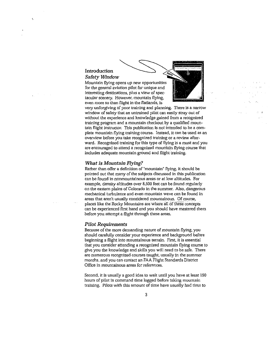# Introduction *Safety Window*

Mountain flying opens up new opportunities for the general aviation pilot for unique and **interesting destinations, plus a view of spectacular scenery. However, mountain flying,**  even more so than flight in the flatlands, is



**very unforgiving of poor training and planning. There is a narrow**  window of safety that an untrained pilot can easily stray out of without the experience and knowledge gained from a recognized training program and a mountain checkout by a qualified mountain flight instructor. This publication is not intended to be a complete mountain flying training course. Instead, it can be used as an **overview before you take recognized training or a review after**ward. Recognized training for this type of flying is a must and you are encouraged to attend a recognized mountain flying course that includes adequate mountain ground and flight training.

# *What is Mountain Flying?*

Rather than offer a definition of "mountain" flying, it should be pointed out that many of the subjects discussed in this publication **can be found in nonmountainous areas or at low altitudes. For**  example, density altitudes over 8.500 feet can be found regularly on the eastern plains of Colorado in the summer. Also, dangerous **mechanical turbulence and even mountain wave can be found in areas that aren't usually considered mountainous. Of course,**  places like the Rocky Mountains are where all of these concepts can be experienced first hand and you should have mastered them before you attempt a flight through these areas.

## *Pilot Requirements*

Because of the more demanding nature of mountain flying, you should carefully consider your experience and background before **beginning a flight into mountainous terrain. First, it is essential that you consider attending a recognized mountain flying course to**  give you the knowledge and skills you will need to be safe. There **are numerous recognized courses taught, usually in the summer**  months. and you can contact an FAA Flight Standards District **Office in mountainous areas for references.** 

Second, it is usually a good idea to wait until you have at least 150 hours of pilot in command time logged before taking mountain training. Pilots with this amount of time have usually had time to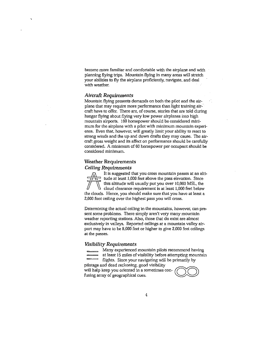become more familiar and comfortable with the airplane and with planning flying trips. Mountain flying in many areas will stretch your abilities to fly the airplane proficiently, navigate, and deal **with weather.** 

# *Aircraft Requirements*

Mountain flying presents demands on both the pilot and the airplane that may require more performance than light training aircraft have to offer. There are, of course, stories that are told during hangar flying about flying very low power airplanes into high mountain airports. 160 horsepower should be considered mini**mum for the airplane with a pilot with minimum mountain experi**ence. Even that, however, will greatly limit your ability to react to strong winds and the up and down drafts they may cause. The aircraft gross weight and its affect on performance should be carefully considered. A minimum of 60 horsepower per occupant should be **considered minimum.** 

# **Weather Requirements**  *Ceiling Requirements*

**Ceiling Requirements**<br>
It is suggested that you cross mountain passes at an alti-<br>  $\frac{f(x)}{f(x)}$  this altitude will usually put you over 10,000 MSL, the<br>
cloud clearance requirement is at least 1,000 feet below<br>
the cloud tude at least 1,000 feet above the pass elevation. Since this altitude will usually put you over 10,000 MSL, the cloud clearance requirement is at least 1,000 feet below 2,000 foot ceiling over the highest pass you will cross.

**Determining the actual ceiling in the mountains, however, can pre**sent some problems. There simply aren't very many mountain weather reporting stations. Also, those that do exist are almost exclusively in valleys. Reported ceilings at a mountain valley airport may have to be 8,000 feet or higher to give 2,000 feet ceilings at the passes.

#### *Visibility Requirements*

**Many experienced mountain pilots recommend having** 

at least 15 miles of visibility before attempting mountain<br>
flights. Since your navigating will be primarily by<br>
ilotage and dead reckoning, good visibility<br>
vill help keep you oriented in a sometimes con-<br>
sing array of g flights. Since your navigating will be primarily by pilotage and dead reckoning, good visibility fusing array of geographical cues. will help keep you oriented in

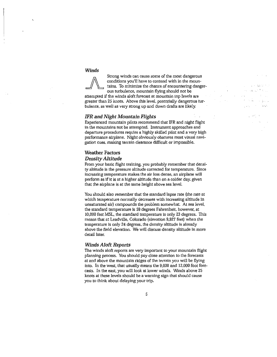# *Winds*

Strong winds can cause some of the most dangerous conditions you'll have to contend with in the mountains. To minimize the chance of encountering danger-

ous turbulence, mountain flying should not be attempted if the winds aloft forecast at mountain top levels are greater than 25 knots. Above this level, potentially dangerous turbulence, as well as very strong up and down drafts are likely.

#### *IFR and Night Mountain Flights*

Experienced mountain pilots recommend that IFR and night flight in the mountains not be attempted. Instrument approaches and departure procedures require a highly skilled pilot and a very high performance airplane. Night obviously obscures most visual navi**gation cues. making terrain clearance difficult or impossible.** 

# **Weather Factors**

# *Density Altitude*

From your basic flight training, you probably remember that density altitude is the pressure altitude corrected for temperature. Since **increasing temperature makes the air less dense, an airplane will**  perform as if it is at a higher altitude than on a colder day, given that the airplane is at the same height above sea level.

You should also remember that the standard lapse rate (the rate at **which temperature normally decreases with increasing altitude in**  unsaturated air) compounds the problem somewhat. At sea level, the standard temperature is 59 degrees Fahrenheit, however, at 10,000 feet MSL, the standard temperature is only 23 degrees. This means that at Leadville, Colorado (elevation 9,927 feet) when the temperature is only 24 degrees, the density altitude is already above the field elevation. We will discuss density altitude in more detail later.

#### *Winds Aloft Reports*

The winds aloft reports are very important to your mountain flight planning process. You should pay close attention to the forecasts at and above the mountain ridges of the terrain you will be flying into. In the west, that usually means the 9,000 and 12.000 foot forecasts. In the east, you will look at lower winds. Winds above 25 knots at these levels should be a warning sign that should cause you to think about delaying your trip.

34.5  $\sim 10^{-1}$  km i ser

小树叶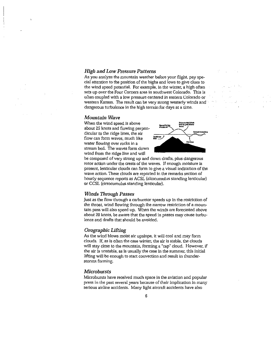# *High and Low Pressure Patterns*

As you analyze the mountain weather before your flight, pay special attention to the position of the highs and lows to give clues to the wind speed potential. For example, in the winter, a high often **sets up over the Four Corners area in southwest Colorado. This is**  often coupled with a low pressure centered in eastern Colorado or western Kansas. The result can be very strong westerly winds and· dangerous turbulence in the high terrain for days at a time.

# *Mountain Wave*

When the wind speed is above about 25 knots and flowing perpendicular to the ridge lines, the air **flow can form waves, much like water flowing over rocks in a**  stream bed. The waves form down wind from the ridge line and will



be composed of very strong up and down drafts, plus dangerous **rotor action under the crests of the waves. If enough moisture is present, lenticular clouds can form to give a visual indication of the wave action. These clouds are reported in the remarks section of**  hourly sequence reports as ACSL (altocumulus standing lenticular) or CCSL (cirrocumulus standing lenticular).

#### *Winds Through* Passes

Just as the flow through a carburetor speeds up in the restriction of the throat, wind flowing through the narrow restriction of a mountain pass will also speed up. When the winds are forecasted above about 20 knots, be aware that the speed in passes may cause turbulence and drafts that should be avoided.

# *Orographic Lifting*

As the wind blows moist air upslope, it will cool and may form clouds. If, as is often the case winter, the air is stable, the clouds will stay close to the mountain, forming a "cap" cloud. However, if the air is unstable, as is usually the case in the summer, this initial lifting will be enough to start convection and result in thunder**storms forming.** 

# *Microbursts*

**Microbursts have received much space in the aviation and popular press in the pasl several years because of their implication in many**  serious airline accidents. Many light aircraft accidents have also

 $\mathcal{L}_{\mathcal{N}}(\mathcal{F})$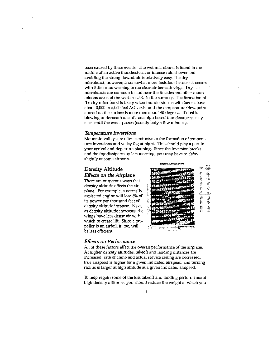been caused by these events. The wet microburst is found in the **middle of an active thunderstorm or intense rain shower and**  avoiding the strong downdraft is relatively easy. The dry **microburst, however, is somewhat more insidious because it occurs**  with little or no warning in the clear air beneath virga. Dry **microbllrsts are common in and near the Rockies and other mountainous areas of the western U.S. in the summer. The formation of**  the dry microburst is likely when thunderstorms with bases above about 3,000 to 5,000 feet AGL exist and the temperature/ dew point spread on the surface is more than about 40 degrees. If dust is blowing underneath one of these high based thunderstorms, stay clear until the event passes (usually only a few minutes).

## *Temperature Inversions*

Mountain valleys are often conducive to the formation of temperature inversions and valley fog at night. This should play a part in **your arrival and departure planning. Since the inversion breaks**  and the fog dissipates by late morning, you may have to delay slightly at some airports.

# Density Altitude

#### *Effects on the Airplane*

**There are numerous ways that**  density altitude affects the airplane. For example, a normally aspirated engine will lose 3% of its power per thousand feet of density altitude increase. Next, as density altitude increases, the **wings have less dense air with**  which to create lift. Since a propeller is an airfoil, it, too, will be less efficient.



## *Effects on Performance*

All of these factors affect the overall performance of the airplane. At higher density altitudes, takeoff and landing distances are increased, rate of climb and actual service ceiling are decreased, true airspeed is higher for a given indicated airspeed, and turning radius is larger at high altitude at a given indicated airspeed.

To help regain some of the lost takeoff and landing performance at **high density altitudes. you should reduce the weight at \rvhich you**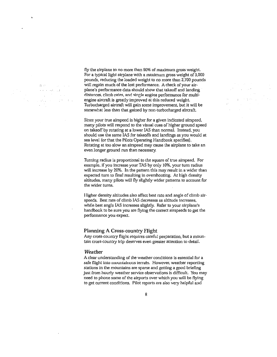$\sim 10^{11}$  and  $\sim 10^{11}$ 真空の  $\sigma(\kappa) \in \{0,1,1,2\}$ **College**  $\sim$   $\mu$  $\sim 2.8\times 10^4$ a service con

 $\sim$ 

fly the airplane to no more than 90% of maximum gross weight. For a typical light airplane with a maximum gross weight of 3,000 pounds, reducing the loaded weight to no more than 2,700 pounds will regain much of the lost performance. A check of your airplane's performance data should show that takeoff and landing distances, climb rates, and single engine performance for multiengine aircraft is greatly improved at this reduced weight. Turbocharged aircraft will gain some improvement, but it will be somewhat less than that gained by non-turbocharged aircraft.

Since your true airspeed is higher for a given indicated airspeed, many pilots will respond to the visual cues of higher ground speed on takeoff by rotating at a lower !AS than normal. Instead, you should use the same lAS for takeoffs and landings as you would at sea level (or that the Pilots Operating Handbook specifies). Rotating at too slow an airspeed may cause the airplane to take an **even longer ground run than necessary.** 

Turning radius is proportional to the square of true airspeed. For example, if you increase your TAS by only 10%, your turn radius will increase by 20%. In the pattern this may result in a wider than expected turn to final resulting in overshooting. At high density altitudes, many pilots will fly slightly wider patterns to account for the wider turns.

Higher density altitudes also affect best rate and angle of climb airspeeds. Best rate of climb lAS decreases as altitude increases, while best angle lAS increases slightly. Refer to your airplane's handbook to be sure you are flying the correct airspeeds to get the **performance you expect.** 

## **Planning A Cross-country Flight**

Any cross-country flight requires careful preparation, but a moun**tain cross-country trip deserves even greater attention to detail.** 

#### *Weather*

A clear understanding of the weather conditions is essential for a safe flight into mountainous terrain. However, weather reporting **stations in the mountains are sparse and getting a good briefing**  just from hourly weather service observations is difficult. You may need to phone some of the airports over which you will be flying to get current conditions. Pilot reports are also very helpful and

of the control of and process.  $\sim$  $\mathcal{L}^{\mathcal{L}}$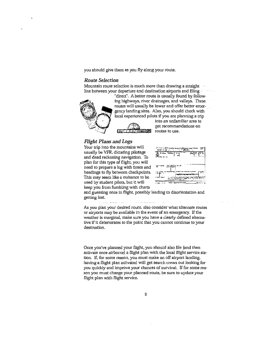you should give them as you fly along your route.

## *Route Selection*

**Mountain route selection is much more than drawing a straight**  line between your departure and destination airports and filing



"direct". A better route is usually found by following highways, river drainages, and valleys. These routes will usually be lower and offer better emergency landing sites. Also, you should check with · local experienced pilots if you are planning a trip

**into an unfamiliar area to get recommendations on routes to use.** 

# *Flight Plans and Logs*

flight plan with flight service.

Your trip into the mountains will usually be VFR, dictating pilotage and dead reckoning navigation. To plan for this type of flight, you will need to prepare a log with times and headings to fly between checkpoints. This may seem like a nuisance to be used by student pilots, but it will keep you from fumbling with charts

| 医细胞 机空气<br>Th.                                                                  |   |
|---------------------------------------------------------------------------------|---|
| 425<br>$+ - - -$<br>احتد                                                        | œ |
|                                                                                 |   |
|                                                                                 |   |
| 27-11 and                                                                       |   |
|                                                                                 |   |
| m                                                                               |   |
| e de la partitulation de l'appeller.<br>La commune de l'appeller de l'appeller. |   |
| . .                                                                             |   |
| 1,000 -                                                                         |   |

and guessing once in flight, possibly leading to disorientation and getting lost.

As you plan your desired route, also consider what alternate routes or airports may be available in the event of an emergency. If the **weather is marginal, make sure you have a clearly defined alternative** if it **deteriorates to the point that you cannot continue to your destination.** 

Once you've planned your flight, you should also file (and then activate once airborne) a flight plan with the local flight service station. If, for some reason, you must make an off airport landing, having a flight plan activated will get search crews out looking for you quickly and improve your chances of survival. If for some reason you must change your planned route, be sure to update your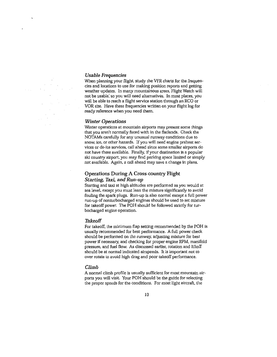## *Usable Frequencies*

When planning your flight, study the VFR charts for the frequen**cies and locations to use for making position reports and getting**  weather updates. In many mountainous areas, Flight Watch will not be usable; so you will need alternatives. In most places, you will be able to reach a flight service station through an RCO or VOR site. Have these frequencies written on your flight log for ready reference when you need them.

## *Winter Operations*

**Winter operations at mountain airports may present some things**  that you aren't normally faced with in the flatlands. Check the NOTAMs carefully for any unusual runway conditions due to **snow, ice, or other hazards. If you will need engine preheat services or de-ice services, call ahead since some smaller airports do**  not have these available. Finally, if your destination is a popular ski country airport, you may find parking space limited or simply not available. Again, a call ahead may save a change in plans.

# Operations During A Cross-country Flight *Starting, Taxi, and Run-up*

Starting and taxi at high altitudes are performed as you would at **sea level, except you must lean the mixture significantly to avoid**  fouling the spark plugs. Run-up is also normal except a full power run-up of nonturbocharged engines should be used to set mixture for takeoff power. The POH should be followed strictly for turbocharged engine operation.

#### *Takeoff*

For takeoff, the minimum flap setting recommended by the POH is usually recommended for best performance. A full power check should be performed on the runway. adjusting mixture for best power if necessary, and checking for proper engine RPM, manifold pressure, and fuel flow. As discussed earlier, rotation and liftoff should be at normal indicated airspeeds. It is important not to over rotate to avoid high drag and poor takeoff performance.

#### *Climb*

**A normal climb profile is usually sufficient for most mountain air**ports you will visit. Your POH should be the guide for selecting **the proper speeds for the conditions. For most light aircraft, the**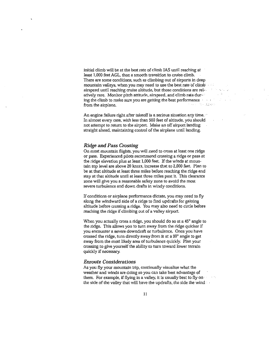initial climb will be at the best rate of climb lAS until reaching at least 1,000 feet AGL, then a smooth transition to cruise climb. **There are some conditions, such as climbing out of airports in deep**  mountain valleys, when you may need to use the best rate of climb airspeed until reaching cruise altitude, but those conditions are relatively rare. Monitor pitch attitude, airspeed, and climb rate during the climb to make sure you are getting the best performance from the airplane.

**An engine failure right after takeoff is a serious situation any time.** '' In almost every case, with less than 500 feet of altitude. you should not attempt to return to the airport. Make an off airport landing straight ahead, maintaining control of the airplane until landing.

#### *Ridge and* Pass *Crossing*

**On most mountain flights, you will need to cross at least one ridge or pass. Experienced pilots recommend crossing a ridge or pass at**  the ridge elevation plus at least 1,000 feet. If the winds at mountain top level are above 20 knots, increase that to 2,000 feet. Plan to be at that altitude at least three miles before reaching the ridge and stay at that altitude until at least three miles past it. This clearance zone will give you a reasonable safety zone to avoid the most severe turbulence and down drafts in windy conditions.

**If conditions or airplane performance dictate, you may need to fly**  along the windward side of a ridge to find updrafts for gaining altitude before crossing a ridge. You may also need to circle before reaching the ridge if climbing out of a valley airport.

When you actually cross a ridge, you should do so at a 45<sup>°</sup> angle to the ridge. This allows you to turn away from the ridge quicker if **you encounter a severe downdraft or turbulence. Once you have**  crossed the ridge, turn directly away from it at a 90° angle to get away from the most likely area of turbulence quickly. Plan your crossing to give yourself the ability to turn toward lower terrain quickly if necessary.

# *Enroute Considerations*

As you fly your mountain trip, continually visualize what the weather and winds are doing so you can take best advantage of them. For example, if flying in a valley, it is usually best to fly on the side of the valley that will have the updrafts, the side the wind

 $\sim 100$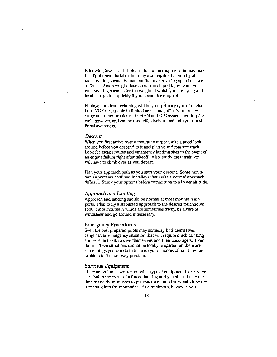and country in  $\omega_{\rm{max}}=2.00$  km apaw  $\label{eq:2.1} \frac{1}{2} \left( \frac{1}{2} \left( \frac{1}{2} \right) \left( \frac{1}{2} \right) \left( \frac{1}{2} \right) \left( \frac{1}{2} \right) \left( \frac{1}{2} \right) \left( \frac{1}{2} \right) \left( \frac{1}{2} \right) \left( \frac{1}{2} \right) \left( \frac{1}{2} \right) \left( \frac{1}{2} \right) \left( \frac{1}{2} \right) \left( \frac{1}{2} \right) \left( \frac{1}{2} \right) \left( \frac{1}{2} \right) \left( \frac{1}{2} \right$  $\mathcal{L}^{\text{max}}_{\text{max}}$  , where  $\mathcal{L}^{\text{max}}_{\text{max}}$ 

is blowing toward. Turbulence due to the rough terrain may make the flight uncomfortable, but may also require that you fly at **maneuvering speed. Remember that maneuvering speed decreases**  as the airplane's weight decreases. You should know what your maneuvering speed is for the weight at which you are flying and be able to go to it quickly if you encounter rough air.

Pilotage and dead reckoning will be your primary type of navigation. VORs are usable in limited areas, but suffer from limited range and other problems. LORAN and GPS systems work quite **well. however, and can be used effectively to maintain your positional awareness.** 

## *Descent*

**When you first arrive over a mountain airport, take a good look**  around before you descend to it and plan your departure track. Look for escape routes and emergency landing sites in the event of an engine failure right after takeoff. Also, study the terrain you will have to climb over as you depart.

Plan your approach path as you start your descent. Some mountain airports are confined in valleys that make a normal approach difficult. Study your options before committing to a lower altitude.

#### *Approach and Landing*

Approach and landing should be normal at most mountain airports. Plan to fly a stabilized approach to the desired touchdown **spot. Since mountain winds are sometimes tricky, be aware of**  windshear and go around if necessary.

#### Emergency Procedures

Even the best prepared pilots may someday find themselves caught in an emergency situation that will require quick thinking and excellent skill to save themselves and their passengers. Even though these situations cannot be totally prepared for, there are some things you can do to increase your chances of handling the problem in the best way possible.

## *Survival Equipment*

There are volumes written on what type of equipment to carry for survival in the event of a forced landing and you should take the time to use these sources to put together a good survival kit before **launching into the mountains. At a minimum, however, you**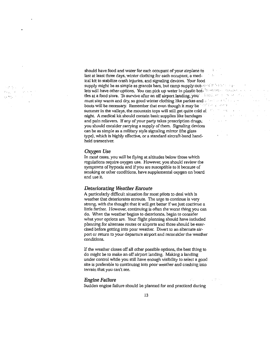$\epsilon_{\rm 45}$  , T.  $\mu$   $M_{\rm Pl}$ 

should have food and water for each occupant of your airplane io last at least three days, winter clothing for each occupant, a medical kit to stabilize crash injuries, and signaling devices. Your food supply might be as simple as granola bars, but camp supply!out-  $\circ \circ \circ \circ \circ \circ \circ \circ \circ \circ$ lets will have other options. You can pick up water in plastic bot-'<sup>h</sup>ies for the contact of the state tles at a food store. To survive after an off airport landing; you's statement of the statement of must stay warm and dry, so good winter clothing like parkas and  $\phi$  becomes and  $\phi$ boots will be necessary. Remember that even though it may be welther and the restriction summer in the valleys, the mountain tops will still get quite cold at  $\,$ night. A medical kit should contain basic supplies like bandages and pain relievers. If any of your party takes prescription drugs, you should consider carrying a supply of them. Signaling devices can be as simple as a military style signaling mirror (the glass type), which is highly effective, or a standard aircraft-band handheld transceiver.

## *Oxygen Use*

In most cases, you will be flying at altitudes below those which **regulations require oxygen use. However, you should review the**  symptoms of hypoxia and if you are susceptible to it because of smoking or other conditions, have supplemental oxygen on board **and use it.** 

#### *Deteriorating Weather Enroute*

A particularly difficult situation for most pilots to deal with is **weather that deteriorates enroute. The urge to continue is very**  strong, with the thought that it will get better if we just continue a little farther. However, continuing is often the worst thing you can do. When the weather begins to deteriorate, begin to consider what your options are. Your flight planning should have included planning for alternate routes or airports and those should be exer**cised before getting into poor weather. Divert to an alternate air**port or return to your departure airport and reconsider the weather **conditions.** 

If the weather closes off all other possible options, the best thing to do might be to make an off airport landing. Making a landing under control while you still have enough visibility to select a good **site is preferable to continuing into poor weather and crashing into terrain that you can't see.** 

## *Engine Failure*

Sudden engine failure should be planned for and practiced during

 $\sim 100$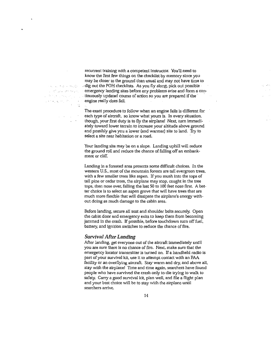exclude the constants. and programmed. a de la monte de la maría.<br>Antiga de la maría de  $\varphi$  (  $\psi_{\varphi}$  ),  $\psi_{\varphi}$  (  $\Omega_{\varphi}$  $\alpha=\alpha_{\rm{B}}$ 

recurrent training with a competent instructor. You'll need to know the first few things on the checklist by memory since you may be closer to the ground than usual and may not have time to .. dig out the POH checklists. As you fly along, pick out possible **emergency landing sites before any problems arise and form a: con-** . tinuously updated course of action so you are prepared if the  $\cdot$ engine reaily does fail.

The exact procedure to follow when an engine fails is different for **each type of aircraft, so know what yours is. In every situation,**  though, your first duty is to fly the airplane! Next, turn immedi**ately toward lower terrain to increase your altitude above ground**  and possibly give you a lower (and warmer) site to land. Try to **select a site near habitation or a road.** 

Your landing site may be on a slope. Landing uphill will reduce the ground roll and reduce the chance of falling off an embankment or cliff.

Landing in a forested area presents some difficult choices. In the **western U.S., most of the mountain forests are tall evergreen trees,**  with a few smaller trees like aspen. If you mush into the tops of tall pine or cedar trees, the airplane may stop, caught in the tree tops, then nose over, falling the last 50 to 100 feet nose first. A bet**ter choice is to select an aspen grove that will have trees that are**  much more flexible that will dissipate the airplane's energy without doing as much damage to the cabin area.

Before landing, secure all seat and shoulder belts securely. Open the cabin door and emergency exits to keep them from becoming jammed in the crash. If possible, before touchdown turn off fuel, battery, and ignition switches to reduce the chance of fire.

#### *Survival After Landing*

After landing, get everyone out of the aircraft immediately until **you are sure there is no chance of fire. Next. make sure that the**  emergency locator transmitter is turned on. If a handheld radio is part of your survival kit, use it to attempt contact with an FAA facility or an overflying aircraft. Stay warm and dry, and above all, stay with the airplane! Time and time again, searchers have found people who have survived the crash only to die trying to walk to safety. Carry a good survival kit, plan well, and file a flight plan **and your best choice will be to stay vvith the airplane until searchers arrive.**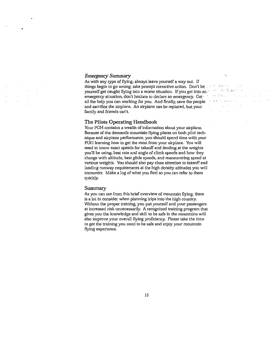# *Emergency Summary*

 $\mathcal{F}_2$ 

As with any type of flying, always leave yourself a way out. If things begin to go wrong, take prompt corrective action. Don't let yourself get caught flying into a worse situation. If you get into an  $\ell$  and the latter into emergency situation, don't hesilale to declare an emergency. Get and the state of the state of all the help you can working for you. And finally, save the people • · • · and sacrifice the airplane. An airplane can be replaced, but your family and friends can't.

# **The Pilots Operating Handbook**

Your POH contains a wealth of information about your airplane. Because of the demands mountain flying places on both pilot technique and airplane performance, you should spend time with your POH learning how to get the most from your airplane. You will need to know exact speeds for takeoff and landing at the weights you'll be using, best rate and angle of climb speeds and how they change with altitude, best glide speeds, and maneuvering speed at various weights. You should also pay close attention to takeoff and landing runway requirements at the high density altitudes you will encounter. Make a log of what you find so you can refer to them quickly.

## **Summary**

**As you can see from this brief overview of mountain flying, there**  is a lot to consider when planning trips into the high country. Without the proper training, you put yourself and your passengers **at increased risk unnecessarily. A recognized training program that**  gives you the knowledge and skill to be safe in the mountains will also improve your overall flying proficiency. Please take the time to get the training you need to be safe and enjoy your mountain flying experience.

 $t_{\rm H} \sim e^2$ 10.11

 $\mathcal{R}^{\text{max}}$  and  $\mathcal{R}^{\text{max}}$ 

 $\mathcal{A}^{\mathcal{A}}$  and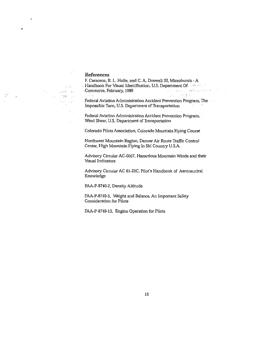# **References**

 $\mathcal{I}^{\pm}$ 

不同程序

 $\mathcal{C}_{\mathcal{M}}(\mathbb{R}^d)$  and

 $\mathbb{C}_1$  :

 $\hat{\mathcal{L}}$  .

ing.<br>Tan

 $\bullet$ 

 $\frac{1}{2}$   $\sigma$ 

 $\Delta$ 

 $\sim 10$ 

 $\sim 10^{11}$  km  $^{-1}$ 

F. Caracena, R. L. Holle, and C. A. Doswell III, Microbursts - A **Handbook For Visual Identification, U.S. Department Of The and Southern School Section 1989** . , ·. .Commerce, February, 1989 "· · Federal Aviation Administration Accident Prevention Program, The Impossible Turn, U.S. Department of Transportation  $\sim 10^{-11}$  ,  $\sim 10^{10}$  km s

> Federal Aviation Administration Accident Prevention Program, Wind Shear, U.S. Department of Transportation

Colorado Pilots Association, Colorado Mountain Flying Course

Northwest Mountain Region, Denver Air Route Traffic Control Center, High Mountain Flying In Ski Country U.S.A.

Advisory Circular AC-0057, Hazardous Mountain Winds and their Visual Indicators

Advisory Circular AC 61-23C, Pilot's Handbook of Aeronautical Knowledge

FAA-P-87 40-2, Density Altitude

FAA-P-8740-5, Weight and Balance, An Important Safety Consideration for Pilots

FAA-P-8740-13, Engine Operation for Pilots